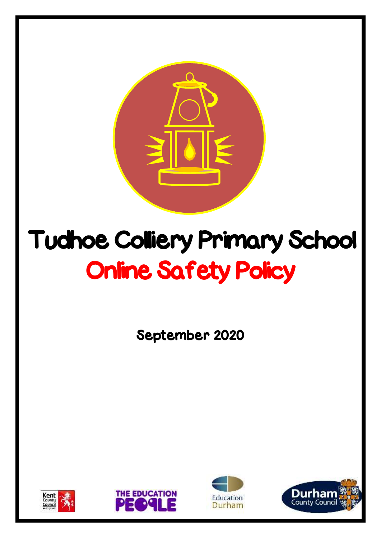

# Tudhoe Colliery Primary School Online Safety Policy

September 2020







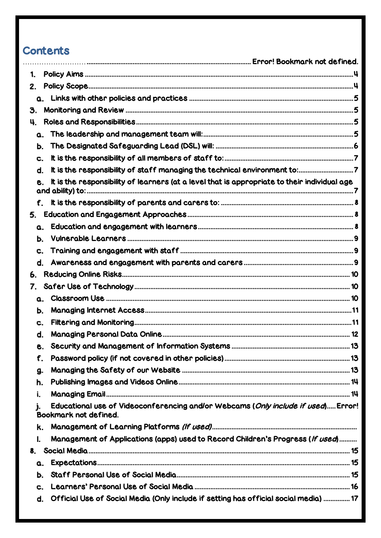# Contents

| 1. |    |                                                                                                            |  |
|----|----|------------------------------------------------------------------------------------------------------------|--|
| 2. |    |                                                                                                            |  |
|    |    |                                                                                                            |  |
| З. |    |                                                                                                            |  |
| 4. |    |                                                                                                            |  |
|    |    |                                                                                                            |  |
|    | Ь. |                                                                                                            |  |
|    | C. |                                                                                                            |  |
|    | d. |                                                                                                            |  |
|    |    | It is the responsibility of learners (at a level that is appropriate to their individual age               |  |
|    | f. |                                                                                                            |  |
| 5. |    |                                                                                                            |  |
|    | α. |                                                                                                            |  |
|    | Ь. |                                                                                                            |  |
|    | c. |                                                                                                            |  |
|    | d. |                                                                                                            |  |
| 6. |    |                                                                                                            |  |
| 7. |    |                                                                                                            |  |
|    | α. |                                                                                                            |  |
|    | Ь. |                                                                                                            |  |
|    | C. |                                                                                                            |  |
|    | d. |                                                                                                            |  |
|    | е. |                                                                                                            |  |
|    | f. |                                                                                                            |  |
|    | g. |                                                                                                            |  |
|    | h. |                                                                                                            |  |
|    | i. |                                                                                                            |  |
|    | j, | Educational use of Videoconferencing and/or Webcams (Only include if used) Error!<br>Bookmark not defined. |  |
|    | k. |                                                                                                            |  |
|    | I. | Management of Applications (apps) used to Record Children's Progress (If used)                             |  |
| 8. |    |                                                                                                            |  |
|    | α. |                                                                                                            |  |
|    | Ь. |                                                                                                            |  |
|    | c. |                                                                                                            |  |
|    | d. | Official Use of Social Media (Only include if setting has official social media)  17                       |  |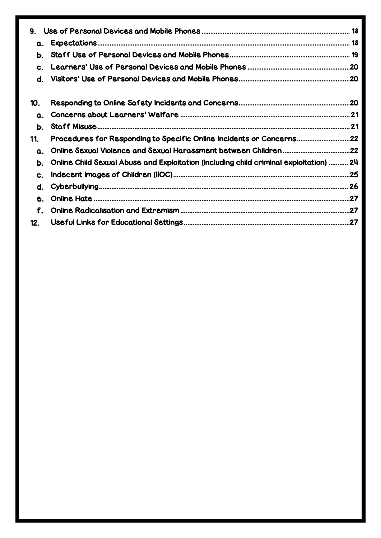| 9.  |                                                                                        |  |
|-----|----------------------------------------------------------------------------------------|--|
| α.  |                                                                                        |  |
| Ь.  |                                                                                        |  |
| C.  |                                                                                        |  |
| d.  |                                                                                        |  |
| 10. |                                                                                        |  |
| α.  |                                                                                        |  |
| Ь.  |                                                                                        |  |
| 11. | Procedures for Responding to Specific Online Incidents or Concerns22                   |  |
| α.  |                                                                                        |  |
| Ь.  | Online Child Sexual Abuse and Exploitation (including child criminal exploitation)  24 |  |
| C.  |                                                                                        |  |
| d.  |                                                                                        |  |
| е.  |                                                                                        |  |
| f.  |                                                                                        |  |
| 12. |                                                                                        |  |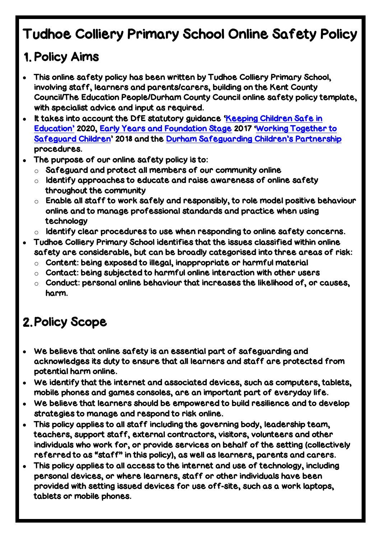# Tudhoe Colliery Primary School Online Safety Policy

# <span id="page-3-0"></span>1. Policy Aims

- This online safety policy has been written by Tudhoe Colliery Primary School, involving staff, learners and parents/carers, building on the Kent County Council/The Education People/Durham County Council online safety policy template, with specialist advice and input as required.
- It takes into account the DfE statutory guidance 'Keeping Children Safe in [Education](https://www.gov.uk/government/publications/keeping-children-safe-in-education--2)' 2020, [Early Years and Foundation Stage](https://www.gov.uk/government/publications/early-years-foundation-stage-framework--2) 2017 '[Working Together to](https://www.gov.uk/government/publications/working-together-to-safeguard-children--2)  [Safeguard Children](https://www.gov.uk/government/publications/working-together-to-safeguard-children--2)' 2018 and the [Durham Safeguarding](http://www.durham-scp.org.uk/whats-new/) Children's Partnership procedures.
- The purpose of our online safety policy is to:
	- $\circ$  Safeguard and protect all members of our community online
	- $\circ$  Identify approaches to educate and raise awareness of online safety throughout the community
	- $\circ$  Enable all staff to work safely and responsibly, to role model positive behaviour online and to manage professional standards and practice when using technology
	- $\circ$  Identify clear procedures to use when responding to online safety concerns.
- Tudhoe Colliery Primary School identifies that the issues classified within online safety are considerable, but can be broadly categorised into three areas of risk:
	- $\circ$  Content: being exposed to illegal, inappropriate or harmful material
	- $\circ$  Contact: being subjected to harmful online interaction with other users
	- o Conduct: personal online behaviour that increases the likelihood of, or causes, harm.

# <span id="page-3-1"></span>2. Policy Scope

- We believe that online safety is an essential part of safeguarding and acknowledges its duty to ensure that all learners and staff are protected from potential harm online.
- We identify that the internet and associated devices, such as computers, tablets, mobile phones and games consoles, are an important part of everyday life.
- We believe that learners should be empowered to build resilience and to develop strategies to manage and respond to risk online.
- This policy applies to all staff including the governing body, leadership team, teachers, support staff, external contractors, visitors, volunteers and other individuals who work for, or provide services on behalf of the setting (collectively referred to as "staff" in this policy), as well as learners, parents and carers.
- This policy applies to all access to the internet and use of technology, including personal devices, or where learners, staff or other individuals have been provided with setting issued devices for use off-site, such as a work laptops, tablets or mobile phones.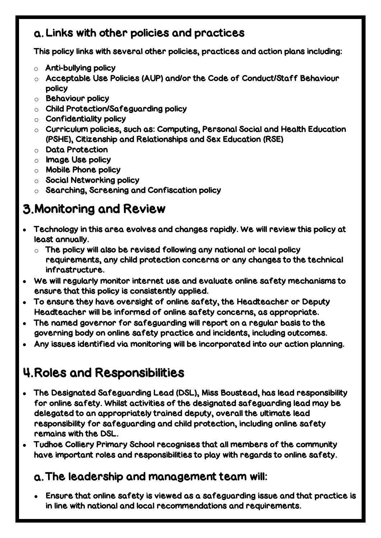# <span id="page-4-0"></span>Links with other policies and practices

This policy links with several other policies, practices and action plans including:

- $\circ$  Anti-bullying policy
- o Acceptable Use Policies (AUP) and/or the Code of Conduct/Staff Behaviour policy
- o Behaviour policy
- o Child Protection/Safeguarding policy
- $\circ$  Confidentiality policy
- $\circ$  Curriculum policies, such as: Computing, Personal Social and Health Education (PSHE), Citizenship and Relationships and Sex Education (RSE)
- o Data Protection
- o Image Use policy
- o Mobile Phone policy
- o Social Networking policy
- o Searching, Screening and Confiscation policy

# <span id="page-4-1"></span>Monitoring and Review

- Technology in this area evolves and changes rapidly. We will review this policy at least annually.
	- $\circ$  The policy will also be revised following any national or local policy requirements, any child protection concerns or any changes to the technical infrastructure.
- We will regularly monitor internet use and evaluate online safety mechanisms to ensure that this policy is consistently applied.
- To ensure they have oversight of online safety, the Headteacher or Deputy Headteacher will be informed of online safety concerns, as appropriate.
- The named governor for safeguarding will report on a regular basis to the governing body on online safety practice and incidents, including outcomes.
- Any issues identified via monitoring will be incorporated into our action planning.

# <span id="page-4-2"></span>Roles and Responsibilities

- The Designated Safeguarding Lead (DSL), Miss Boustead, has lead responsibility for online safety. Whilst activities of the designated safeguarding lead may be delegated to an appropriately trained deputy, overall the ultimate lead responsibility for safeguarding and child protection, including online safety remains with the DSL.
- Tudhoe Colliery Primary School recognises that all members of the community have important roles and responsibilities to play with regards to online safety.

### <span id="page-4-3"></span>The leadership and management team will:

 Ensure that online safety is viewed as a safeguarding issue and that practice is in line with national and local recommendations and requirements.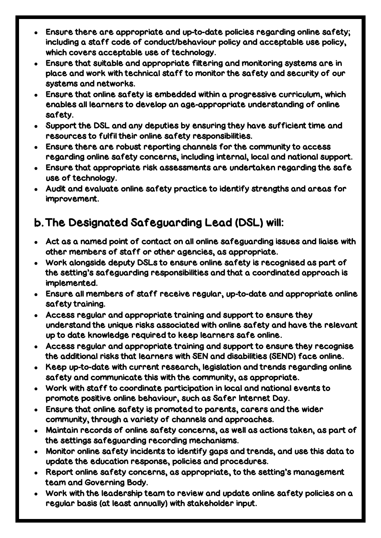- Ensure there are appropriate and up-to-date policies regarding online safety; including a staff code of conduct/behaviour policy and acceptable use policy, which covers acceptable use of technology.
- Ensure that suitable and appropriate filtering and monitoring systems are in place and work with technical staff to monitor the safety and security of our systems and networks.
- Ensure that online safety is embedded within a progressive curriculum, which enables all learners to develop an age-appropriate understanding of online safety.
- Support the DSL and any deputies by ensuring they have sufficient time and resources to fulfil their online safety responsibilities.
- Ensure there are robust reporting channels for the community to access regarding online safety concerns, including internal, local and national support.
- Ensure that appropriate risk assessments are undertaken regarding the safe use of technology.
- Audit and evaluate online safety practice to identify strengths and areas for improvement.

# <span id="page-5-0"></span>The Designated Safeguarding Lead (DSL) will:

- Act as a named point of contact on all online safeguarding issues and liaise with other members of staff or other agencies, as appropriate.
- Work alongside deputy DSLs to ensure online safety is recognised as part of the setting's safeguarding responsibilities and that a coordinated approach is implemented.
- Ensure all members of staff receive regular, up-to-date and appropriate online safety training.
- Access regular and appropriate training and support to ensure they understand the unique risks associated with online safety and have the relevant up to date knowledge required to keep learners safe online.
- Access regular and appropriate training and support to ensure they recognise the additional risks that learners with SEN and disabilities (SEND) face online.
- Keep up-to-date with current research, legislation and trends regarding online safety and communicate this with the community, as appropriate.
- Work with staff to coordinate participation in local and national events to promote positive online behaviour, such as Safer Internet Day.
- Ensure that online safety is promoted to parents, carers and the wider community, through a variety of channels and approaches.
- Maintain records of online safety concerns, as well as actions taken, as part of the settings safeguarding recording mechanisms.
- Monitor online safety incidents to identify gaps and trends, and use this data to update the education response, policies and procedures.
- Report online safety concerns, as appropriate, to the setting's management team and Governing Body.
- Work with the leadership team to review and update online safety policies on a regular basis (at least annually) with stakeholder input.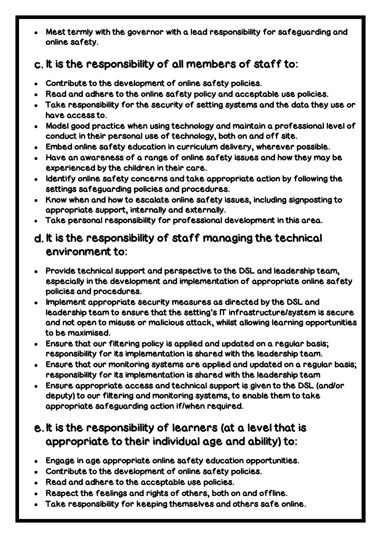Meet termly with the governor with a lead responsibility for safeguarding and online safety.

# <span id="page-6-0"></span>c. It is the responsibility of all members of staff to:

- Contribute to the development of online safety policies.
- Read and adhere to the online safety policy and acceptable use policies.
- Take responsibility for the security of setting systems and the data they use or have access to.
- Model good practice when using technology and maintain a professional level of conduct in their personal use of technology, both on and off site.
- Embed online safety education in curriculum delivery, wherever possible.
- Have an awareness of a range of online safety issues and how they may be experienced by the children in their care.
- Identify online safety concerns and take appropriate action by following the settings safeguarding policies and procedures.
- Know when and how to escalate online safety issues, including signposting to appropriate support, internally and externally.
- Take personal responsibility for professional development in this area.

# <span id="page-6-1"></span>d. It is the responsibility of staff managing the technical environment to:

- Provide technical support and perspective to the DSL and leadership team, especially in the development and implementation of appropriate online safety policies and procedures.
- Implement appropriate security measures as directed by the DSL and leadership team to ensure that the setting's IT infrastructure/system is secure and not open to misuse or malicious attack, whilst allowing learning opportunities to be maximised.
- Ensure that our filtering policy is applied and updated on a regular basis; responsibility for its implementation is shared with the leadership team.
- Ensure that our monitoring systems are applied and updated on a regular basis; responsibility for its implementation is shared with the leadership team
- Ensure appropriate access and technical support is given to the DSL (and/or deputy) to our filtering and monitoring systems, to enable them to take appropriate safeguarding action if/when required.

# <span id="page-6-2"></span>e. It is the responsibility of learners (at a level that is appropriate to their individual age and ability) to:

- Engage in age appropriate online safety education opportunities.
- Contribute to the development of online safety policies.
- Read and adhere to the acceptable use policies.
- Respect the feelings and rights of others, both on and offline.
- Take responsibility for keeping themselves and others safe online.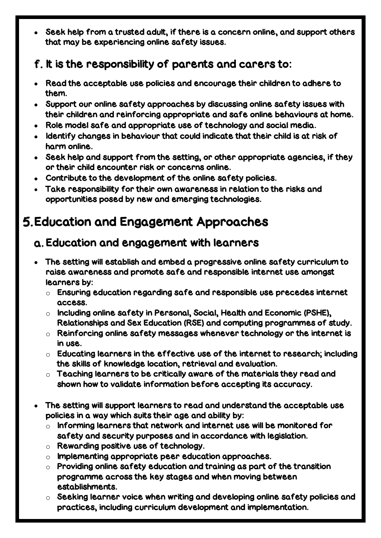Seek help from a trusted adult, if there is a concern online, and support others that may be experiencing online safety issues.

# <span id="page-7-0"></span>f. It is the responsibility of parents and carers to:

- Read the acceptable use policies and encourage their children to adhere to them.
- Support our online safety approaches by discussing online safety issues with their children and reinforcing appropriate and safe online behaviours at home.
- Role model safe and appropriate use of technology and social media.
- Identify changes in behaviour that could indicate that their child is at risk of harm online.
- Seek help and support from the setting, or other appropriate agencies, if they or their child encounter risk or concerns online.
- Contribute to the development of the online safety policies.
- Take responsibility for their own awareness in relation to the risks and opportunities posed by new and emerging technologies.

# <span id="page-7-1"></span>Education and Engagement Approaches

# <span id="page-7-2"></span>Education and engagement with learners

- The setting will establish and embed a progressive online safety curriculum to raise awareness and promote safe and responsible internet use amongst learners by:
	- $\circ$  Ensuring education regarding safe and responsible use precedes internet access.
	- o Including online safety in Personal, Social, Health and Economic (PSHE), Relationships and Sex Education (RSE) and computing programmes of study.
	- $\circ$  Reinforcing online safety messages whenever technology or the internet is in use.
	- $\circ$  Educating learners in the effective use of the internet to research; including the skills of knowledge location, retrieval and evaluation.
	- $\circ$  Teaching learners to be critically aware of the materials they read and shown how to validate information before accepting its accuracy.
- The setting will support learners to read and understand the acceptable use policies in a way which suits their age and ability by:
	- $\circ$  Informing learners that network and internet use will be monitored for safety and security purposes and in accordance with legislation.
	- o Rewarding positive use of technology.
	- o Implementing appropriate peer education approaches.
	- $\circ$  Providing online safety education and training as part of the transition programme across the key stages and when moving between establishments.
	- $\circ$  Seeking learner voice when writing and developing online safety policies and practices, including curriculum development and implementation.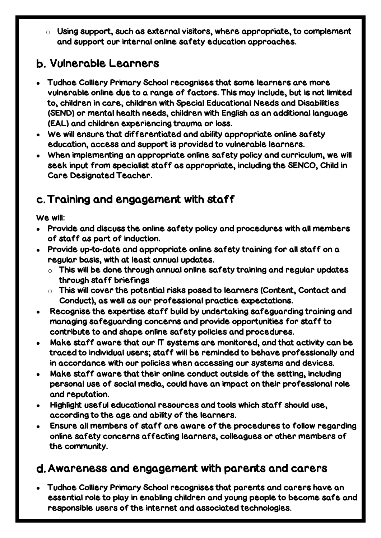$\circ$  Using support, such as external visitors, where appropriate, to complement and support our internal online safety education approaches.

# <span id="page-8-0"></span>Vulnerable Learners

- Tudhoe Colliery Primary School recognises that some learners are more vulnerable online due to a range of factors. This may include, but is not limited to, children in care, children with Special Educational Needs and Disabilities (SEND) or mental health needs, children with English as an additional language (EAL) and children experiencing trauma or loss.
- We will ensure that differentiated and ability appropriate online safety education, access and support is provided to vulnerable learners.
- When implementing an appropriate online safety policy and curriculum, we will seek input from specialist staff as appropriate, including the SENCO, Child in Care Designated Teacher.

# <span id="page-8-1"></span>Training and engagement with staff

#### We will:

- Provide and discuss the online safety policy and procedures with all members of staff as part of induction.
- Provide up-to-date and appropriate online safety training for all staff on a regular basis, with at least annual updates.
	- $\circ$  This will be done through annual online safety training and regular updates through staff briefings
	- $\circ$  This will cover the potential risks posed to learners (Content, Contact and Conduct), as well as our professional practice expectations.
- Recognise the expertise staff build by undertaking safeguarding training and managing safeguarding concerns and provide opportunities for staff to contribute to and shape online safety policies and procedures.
- Make staff aware that our IT systems are monitored, and that activity can be traced to individual users; staff will be reminded to behave professionally and in accordance with our policies when accessing our systems and devices.
- Make staff aware that their online conduct outside of the setting, including personal use of social media, could have an impact on their professional role and reputation.
- Highlight useful educational resources and tools which staff should use, according to the age and ability of the learners.
- Ensure all members of staff are aware of the procedures to follow regarding online safety concerns affecting learners, colleagues or other members of the community.

# <span id="page-8-2"></span>Awareness and engagement with parents and carers

 Tudhoe Colliery Primary School recognises that parents and carers have an essential role to play in enabling children and young people to become safe and responsible users of the internet and associated technologies.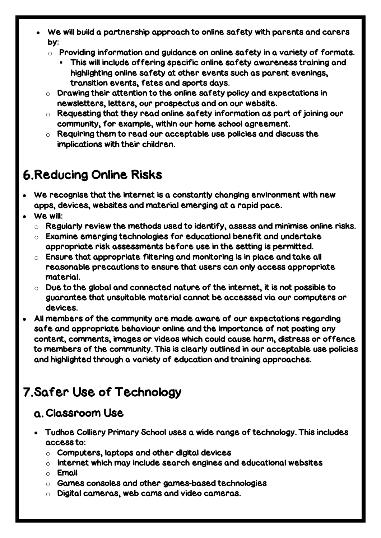- We will build a partnership approach to online safety with parents and carers by:
	- $\circ$  Providing information and guidance on online safety in a variety of formats.
		- This will include offering specific online safety awareness training and highlighting online safety at other events such as parent evenings, transition events, fetes and sports days.
	- $\circ$  Drawing their attention to the online safety policy and expectations in newsletters, letters, our prospectus and on our website.
	- $\circ$  Requesting that they read online safety information as part of joining our community, for example, within our home school agreement.
	- $\circ$  Requiring them to read our acceptable use policies and discuss the implications with their children.

# <span id="page-9-0"></span>Reducing Online Risks

- We recognise that the internet is a constantly changing environment with new apps, devices, websites and material emerging at a rapid pace.
- We will:
	- $\circ$  Regularly review the methods used to identify, assess and minimise online risks.
	- $\circ$  Examine emerging technologies for educational benefit and undertake appropriate risk assessments before use in the setting is permitted.
	- $\circ$  Ensure that appropriate filtering and monitoring is in place and take all reasonable precautions to ensure that users can only access appropriate material.
	- $\circ$  Due to the global and connected nature of the internet, it is not possible to guarantee that unsuitable material cannot be accessed via our computers or devices.
- All members of the community are made aware of our expectations regarding safe and appropriate behaviour online and the importance of not posting any content, comments, images or videos which could cause harm, distress or offence to members of the community. This is clearly outlined in our acceptable use policies and highlighted through a variety of education and training approaches.

# <span id="page-9-1"></span>7. Safer Use of Technology

### <span id="page-9-2"></span>Classroom Use

- Tudhoe Colliery Primary School uses a wide range of technology. This includes access to:
	- $\circ$  Computers, laptops and other digital devices
	- $\circ$  Internet which may include search engines and educational websites
	- o Email
	- o Games consoles and other games-based technologies
	- o Digital cameras, web cams and video cameras.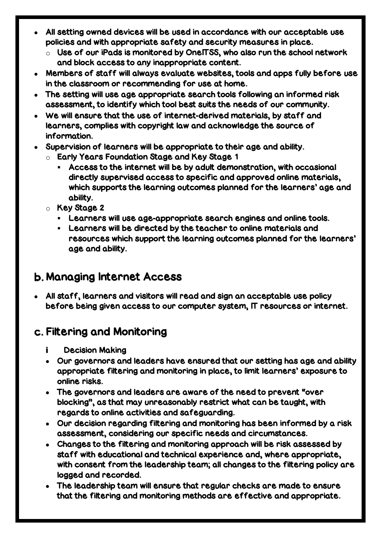- All setting owned devices will be used in accordance with our acceptable use policies and with appropriate safety and security measures in place.
	- $\circ$  Use of our iPads is monitored by OneITSS, who also run the school network and block access to any inappropriate content.
- Members of staff will always evaluate websites, tools and apps fully before use in the classroom or recommending for use at home.
- The setting will use age appropriate search tools following an informed risk assessment, to identify which tool best suits the needs of our community.
- We will ensure that the use of internet-derived materials, by staff and learners, complies with copyright law and acknowledge the source of information.
- Supervision of learners will be appropriate to their age and ability.
	- o Early Years Foundation Stage and Key Stage 1
		- Access to the internet will be by adult demonstration, with occasional directly supervised access to specific and approved online materials, which supports the learning outcomes planned for the learners' age and ability.
	- o Key Stage 2
		- Learners will use age-appropriate search engines and online tools.
		- Learners will be directed by the teacher to online materials and resources which support the learning outcomes planned for the learners' age and ability.

# <span id="page-10-0"></span>Managing Internet Access

 All staff, learners and visitors will read and sign an acceptable use policy before being given access to our computer system, IT resources or internet.

### <span id="page-10-1"></span>Filtering and Monitoring

- i. Decision Making
- Our governors and leaders have ensured that our setting has age and ability appropriate filtering and monitoring in place, to limit learners' exposure to online risks.
- The governors and leaders are aware of the need to prevent "over blocking", as that may unreasonably restrict what can be taught, with regards to online activities and safeguarding.
- Our decision regarding filtering and monitoring has been informed by a risk assessment, considering our specific needs and circumstances.
- Changes to the filtering and monitoring approach will be risk assessed by staff with educational and technical experience and, where appropriate, with consent from the leadership team; all changes to the filtering policy are logged and recorded.
- The leadership team will ensure that regular checks are made to ensure that the filtering and monitoring methods are effective and appropriate.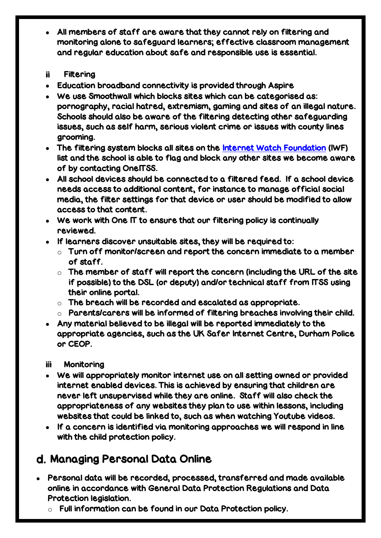- All members of staff are aware that they cannot rely on filtering and monitoring alone to safeguard learners; effective classroom management and regular education about safe and responsible use is essential.
- ii a Filtering
- Education broadband connectivity is provided through Aspire
- We use Smoothwall which blocks sites which can be categorised as: pornography, racial hatred, extremism, gaming and sites of an illegal nature. Schools should also be aware of the filtering detecting other safeguarding issues, such as self harm, serious violent crime or issues with county lines grooming.
- The filtering system blocks all sites on the [Internet Watch Foundation](https://www.iwf.org.uk/) (IWF) list and the school is able to flag and block any other sites we become aware of by contacting OneITSS.
- All school devices should be connected to a filtered feed. If a school device needs access to additional content, for instance to manage official social media, the filter settings for that device or user should be modified to allow access to that content.
- We work with One IT to ensure that our filtering policy is continually reviewed.
- If learners discover unsuitable sites, they will be required to:
	- $\circ$  Turn off monitor/screen and report the concern immediate to a member of staff.
	- $\circ$  The member of staff will report the concern (including the URL of the site if possible) to the DSL (or deputy) and/or technical staff from ITSS using their online portal.
	- $\circ$  The breach will be recorded and escalated as appropriate.
	- $\circ$  Parents/carers will be informed of filtering breaches involving their child.
- Any material believed to be illegal will be reported immediately to the appropriate agencies, such as the UK Safer Internet Centre, Durham Police or CEOP.
- iii **Monitoring**
- We will appropriately monitor internet use on all setting owned or provided internet enabled devices. This is achieved by ensuring that children are never left unsupervised while they are online. Staff will also check the appropriateness of any websites they plan to use within lessons, including websites that could be linked to, such as when watching Youtube videos.
- If a concern is identified via monitoring approaches we will respond in line with the child protection policy.

# <span id="page-11-0"></span>d. Managing Personal Data Online

- Personal data will be recorded, processed, transferred and made available online in accordance with General Data Protection Regulations and Data Protection legislation.
	- $\circ$  Full information can be found in our Data Protection policy.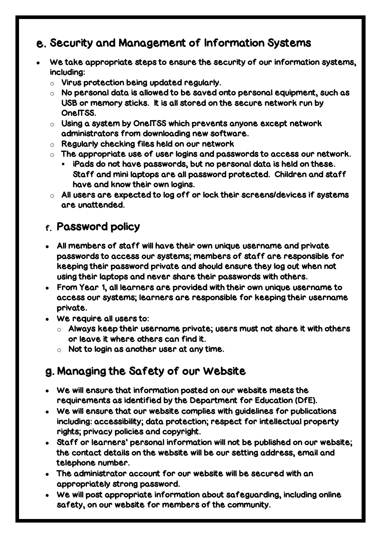# <span id="page-12-0"></span>e. Security and Management of Information Systems

- We take appropriate steps to ensure the security of our information systems, including:
	- o Virus protection being updated regularly.
	- $\circ$  No personal data is allowed to be saved onto personal equipment, such as USB or memory sticks. It is all stored on the secure network run by One<sub>ITSS</sub>
	- $\circ$  Using a system by OneITSS which prevents anyone except network administrators from downloading new software.
	- o Regularly checking files held on our network
	- $\circ$  The appropriate use of user logins and passwords to access our network.
		- iPads do not have passwords, but no personal data is held on these. Staff and mini laptops are all password protected. Children and staff have and know their own logins.
	- $\circ$  All users are expected to log off or lock their screens/devices if systems are unattended.

### <span id="page-12-1"></span>Password policy

- All members of staff will have their own unique username and private passwords to access our systems; members of staff are responsible for keeping their password private and should ensure they log out when not using their laptops and never share their passwords with others.
- From Year 1, all learners are provided with their own unique username to access our systems; learners are responsible for keeping their username private.
- We require all users to:
	- $\circ$  Always keep their username private; users must not share it with others or leave it where others can find it.
	- $\circ$  Not to login as another user at any time.

# <span id="page-12-2"></span>Managing the Safety of our Website

- We will ensure that information posted on our website meets the requirements as identified by the Department for Education (DfE).
- We will ensure that our website complies with guidelines for publications including: accessibility; data protection; respect for intellectual property rights; privacy policies and copyright.
- Staff or learners' personal information will not be published on our website; the contact details on the website will be our setting address, email and telephone number.
- The administrator account for our website will be secured with an appropriately strong password.
- We will post appropriate information about safeguarding, including online safety, on our website for members of the community.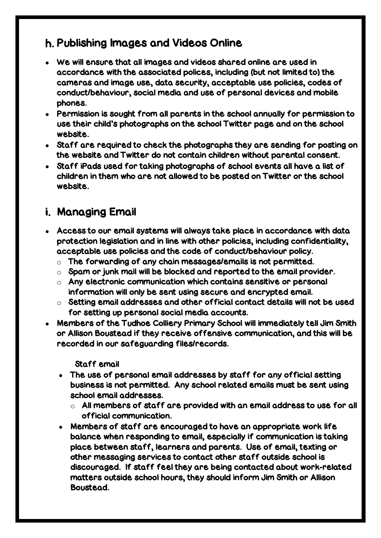### <span id="page-13-0"></span>Publishing Images and Videos Online

- We will ensure that all images and videos shared online are used in accordance with the associated polices, including (but not limited to) the cameras and image use, data security, acceptable use policies, codes of conduct/behaviour, social media and use of personal devices and mobile phones.
- Permission is sought from all parents in the school annually for permission to use their child's photographs on the school Twitter page and on the school website.
- Staff are required to check the photographs they are sending for posting on the website and Twitter do not contain children without parental consent.
- Staff iPads used for taking photographs of school events all have a list of children in them who are not allowed to be posted on Twitter or the school website.

### <span id="page-13-1"></span>i. Managing Email

- Access to our email systems will always take place in accordance with data protection legislation and in line with other policies, including confidentiality, acceptable use policies and the code of conduct/behaviour policy.
	- $\circ$  The forwarding of any chain messages/emails is not permitted.
	- $\circ$  Spam or junk mail will be blocked and reported to the email provider.
	- o Any electronic communication which contains sensitive or personal information will only be sent using secure and encrypted email.
	- $\circ$  Setting email addresses and other official contact details will not be used for setting up personal social media accounts.
- Members of the Tudhoe Colliery Primary School will immediately tell Jim Smith or Allison Boustead if they receive offensive communication, and this will be recorded in our safeguarding files/records.

Staff email

- The use of personal email addresses by staff for any official setting business is not permitted. Any school related emails must be sent using school email addresses.
	- $\circ$  All members of staff are provided with an email address to use for all official communication.
- Members of staff are encouraged to have an appropriate work life balance when responding to email, especially if communication is taking place between staff, learners and parents. Use of email, texting or other messaging services to contact other staff outside school is discouraged. If staff feel they are being contacted about work-related matters outside school hours, they should inform Jim Smith or Allison Boustead.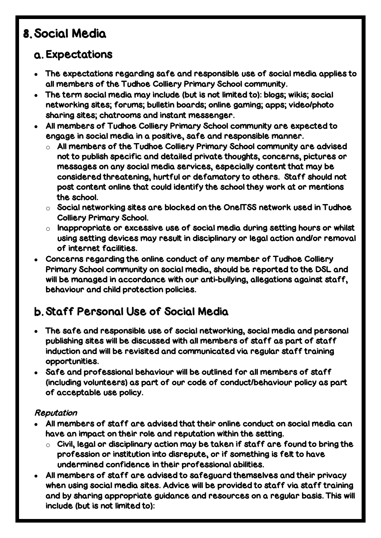# <span id="page-14-0"></span>Social Media

# <span id="page-14-1"></span>Expectations

- The expectations regarding safe and responsible use of social media applies to all members of the Tudhoe Colliery Primary School community.
- The term social media may include (but is not limited to): blogs; wikis; social networking sites; forums; bulletin boards; online gaming; apps; video/photo sharing sites; chatrooms and instant messenger.
- All members of Tudhoe Colliery Primary School community are expected to engage in social media in a positive, safe and responsible manner.
	- $\circ$  All members of the Tudhoe Colliery Primary School community are advised not to publish specific and detailed private thoughts, concerns, pictures or messages on any social media services, especially content that may be considered threatening, hurtful or defamatory to others. Staff should not post content online that could identify the school they work at or mentions the school.
	- $\circ$  Social networking sites are blocked on the OneITSS network used in Tudhoe Colliery Primary School.
	- $\circ$  Inappropriate or excessive use of social media during setting hours or whilst using setting devices may result in disciplinary or legal action and/or removal of internet facilities.
- Concerns regarding the online conduct of any member of Tudhoe Colliery Primary School community on social media, should be reported to the DSL and will be managed in accordance with our anti-bullying, allegations against staff, behaviour and child protection policies.

# <span id="page-14-2"></span>Staff Personal Use of Social Media

- The safe and responsible use of social networking, social media and personal publishing sites will be discussed with all members of staff as part of staff induction and will be revisited and communicated via regular staff training opportunities.
- Safe and professional behaviour will be outlined for all members of staff (including volunteers) as part of our code of conduct/behaviour policy as part of acceptable use policy.

#### Reputation

- All members of staff are advised that their online conduct on social media can have an impact on their role and reputation within the setting.
	- $\circ$  Civil, legal or disciplinary action may be taken if staff are found to bring the profession or institution into disrepute, or if something is felt to have undermined confidence in their professional abilities.
- All members of staff are advised to safeguard themselves and their privacy when using social media sites. Advice will be provided to staff via staff training and by sharing appropriate guidance and resources on a regular basis. This will include (but is not limited to):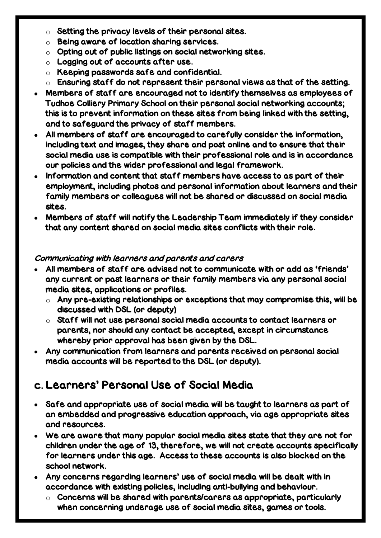- $\circ$  Setting the privacy levels of their personal sites.
- o Being aware of location sharing services.
- $\circ$  Opting out of public listings on social networking sites.
- $\circ$  Logging out of accounts after use.
- o Keeping passwords safe and confidential.
- $\circ$  Ensuring staff do not represent their personal views as that of the setting.
- Members of staff are encouraged not to identify themselves as employees of Tudhoe Colliery Primary School on their personal social networking accounts; this is to prevent information on these sites from being linked with the setting, and to safeguard the privacy of staff members.
- All members of staff are encouraged to carefully consider the information, including text and images, they share and post online and to ensure that their social media use is compatible with their professional role and is in accordance our policies and the wider professional and legal framework.
- Information and content that staff members have access to as part of their employment, including photos and personal information about learners and their family members or colleagues will not be shared or discussed on social media sites.
- Members of staff will notify the Leadership Team immediately if they consider that any content shared on social media sites conflicts with their role.

#### Communicating with learners and parents and carers

- All members of staff are advised not to communicate with or add as 'friends' any current or past learners or their family members via any personal social media sites, applications or profiles.
	- $\circ$  Any pre-existing relationships or exceptions that may compromise this, will be discussed with DSL (or deputy)
	- o Staff will not use personal social media accounts to contact learners or parents, nor should any contact be accepted, except in circumstance whereby prior approval has been given by the DSL.
- Any communication from learners and parents received on personal social media accounts will be reported to the DSL (or deputy).

### <span id="page-15-0"></span>Learners' Personal Use of Social Media

- Safe and appropriate use of social media will be taught to learners as part of an embedded and progressive education approach, via age appropriate sites and resources.
- We are aware that many popular social media sites state that they are not for children under the age of 13, therefore, we will not create accounts specifically for learners under this age. Access to these accounts is also blocked on the school network.
- Any concerns regarding learners' use of social media will be dealt with in accordance with existing policies, including anti-bullying and behaviour.
	- $\circ$  Concerns will be shared with parents/carers as appropriate, particularly when concerning underage use of social media sites, games or tools.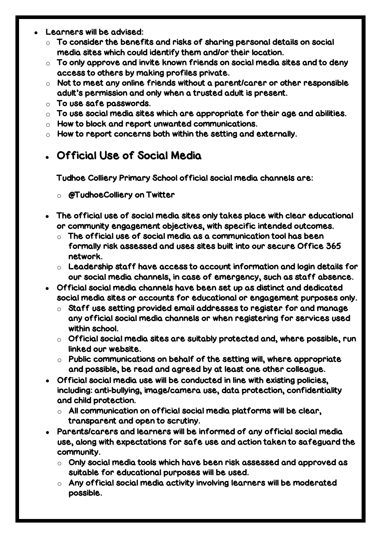- Learners will be advised:
	- $\circ$  To consider the benefits and risks of sharing personal details on social media sites which could identify them and/or their location.
	- $\circ$  To only approve and invite known friends on social media sites and to deny access to others by making profiles private.
	- $\circ$  Not to meet any online friends without a parent/carer or other responsible adult's permission and only when a trusted adult is present.
	- $\circ$  To use safe passwords.
	- $\circ$  To use social media sites which are appropriate for their age and abilities.
	- o How to block and report unwanted communications.
	- $\circ$  How to report concerns both within the setting and externally.

### <span id="page-16-0"></span>Official Use of Social Media

Tudhoe Colliery Primary School official social media channels are:

- o @TudhoeColliery on Twitter
- The official use of social media sites only takes place with clear educational or community engagement objectives, with specific intended outcomes.
	- $\circ$  The official use of social media as a communication tool has been formally risk assessed and uses sites built into our secure Office 365 network.
	- $\circ$  Leadership staff have access to account information and login details for our social media channels, in case of emergency, such as staff absence.
- Official social media channels have been set up as distinct and dedicated social media sites or accounts for educational or engagement purposes only.
	- $\circ$  Staff use setting provided email addresses to register for and manage any official social media channels or when registering for services used within school.
	- $\circ$  Official social media sites are suitably protected and, where possible, run linked our website.
	- $\circ$  Public communications on behalf of the setting will, where appropriate and possible, be read and agreed by at least one other colleague.
- Official social media use will be conducted in line with existing policies, including: anti-bullying, image/camera use, data protection, confidentiality and child protection.
	- $\circ$  All communication on official social media platforms will be clear, transparent and open to scrutiny.
- Parents/carers and learners will be informed of any official social media use, along with expectations for safe use and action taken to safeguard the community.
	- $\circ$  Only social media tools which have been risk assessed and approved as suitable for educational purposes will be used.
	- $\circ$  Any official social media activity involving learners will be moderated possible.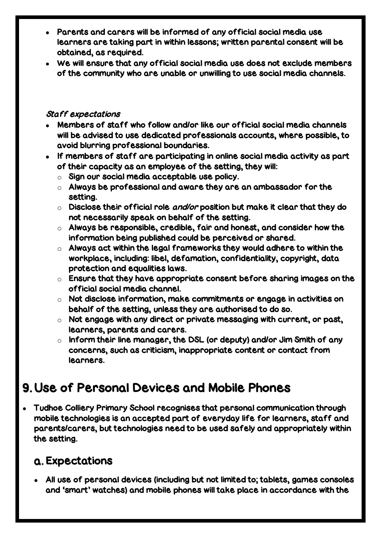- Parents and carers will be informed of any official social media use learners are taking part in within lessons; written parental consent will be obtained, as required.
- We will ensure that any official social media use does not exclude members of the community who are unable or unwilling to use social media channels.

#### Staff expectations

- Members of staff who follow and/or like our official social media channels will be advised to use dedicated professionals accounts, where possible, to avoid blurring professional boundaries.
- If members of staff are participating in online social media activity as part of their capacity as an employee of the setting, they will:
	- o Sign our social media acceptable use policy.
	- $\circ$  Always be professional and aware they are an ambassador for the setting.
	- $\circ$  Disclose their official role and/or position but make it clear that they do not necessarily speak on behalf of the setting.
	- $\circ$  Always be responsible, credible, fair and honest, and consider how the information being published could be perceived or shared.
	- $\circ$  Always act within the legal frameworks they would adhere to within the workplace, including: libel, defamation, confidentiality, copyright, data protection and equalities laws.
	- $\circ$  Ensure that they have appropriate consent before sharing images on the official social media channel.
	- o Not disclose information, make commitments or engage in activities on behalf of the setting, unless they are authorised to do so.
	- $\circ$  Not engage with any direct or private messaging with current, or past, learners, parents and carers.
	- $\circ$  Inform their line manager, the DSL (or deputy) and/or Jim Smith of any concerns, such as criticism, inappropriate content or contact from learners.

# <span id="page-17-0"></span>Use of Personal Devices and Mobile Phones

 Tudhoe Colliery Primary School recognises that personal communication through mobile technologies is an accepted part of everyday life for learners, staff and parents/carers, but technologies need to be used safely and appropriately within the setting.

### <span id="page-17-1"></span>Expectations

 All use of personal devices (including but not limited to; tablets, games consoles and 'smart' watches) and mobile phones will take place in accordance with the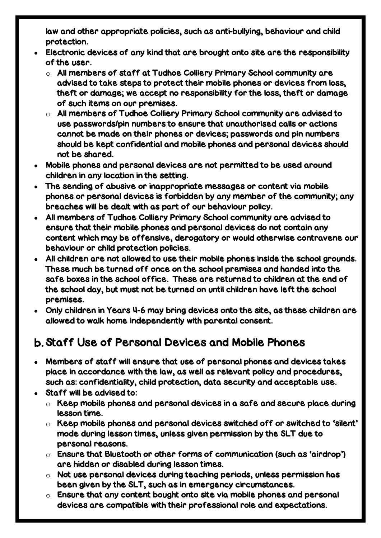law and other appropriate policies, such as anti-bullying, behaviour and child protection.

- Electronic devices of any kind that are brought onto site are the responsibility of the user.
	- $\circ$  All members of staff at Tudhoe Colliery Primary School community are advised to take steps to protect their mobile phones or devices from loss, theft or damage; we accept no responsibility for the loss, theft or damage of such items on our premises.
	- $\circ$  All members of Tudhoe Colliery Primary School community are advised to use passwords/pin numbers to ensure that unauthorised calls or actions cannot be made on their phones or devices; passwords and pin numbers should be kept confidential and mobile phones and personal devices should not be shared.
- Mobile phones and personal devices are not permitted to be used around children in any location in the setting.
- The sending of abusive or inappropriate messages or content via mobile phones or personal devices is forbidden by any member of the community; any breaches will be dealt with as part of our behaviour policy.
- All members of Tudhoe Colliery Primary School community are advised to ensure that their mobile phones and personal devices do not contain any content which may be offensive, derogatory or would otherwise contravene our behaviour or child protection policies.
- All children are not allowed to use their mobile phones inside the school grounds. These much be turned off once on the school premises and handed into the safe boxes in the school office. These are returned to children at the end of the school day, but must not be turned on until children have left the school premises.
- Only children in Years 4-6 may bring devices onto the site, as these children are allowed to walk home independently with parental consent.

# <span id="page-18-0"></span>Staff Use of Personal Devices and Mobile Phones

- Members of staff will ensure that use of personal phones and devices takes place in accordance with the law, as well as relevant policy and procedures, such as: confidentiality, child protection, data security and acceptable use.
- Staff will be advised to:
	- $\circ$  Keep mobile phones and personal devices in a safe and secure place during lesson time.
	- o Keep mobile phones and personal devices switched off or switched to 'silent' mode during lesson times, unless given permission by the SLT due to personal reasons.
	- o Ensure that Bluetooth or other forms of communication (such as 'airdrop') are hidden or disabled during lesson times.
	- o Not use personal devices during teaching periods, unless permission has been given by the SLT, such as in emergency circumstances.
	- $\circ$  Ensure that any content bought onto site via mobile phones and personal devices are compatible with their professional role and expectations.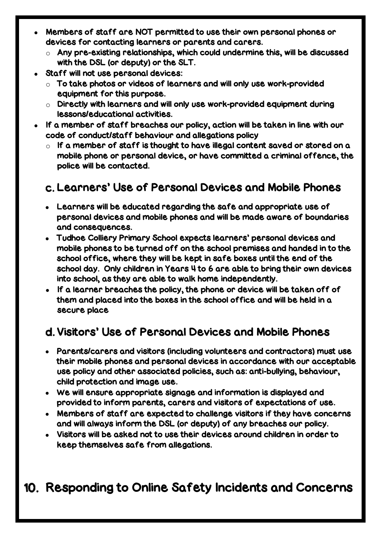- Members of staff are NOT permitted to use their own personal phones or devices for contacting learners or parents and carers.
	- o Any pre-existing relationships, which could undermine this, will be discussed with the DSL (or deputy) or the SLT.
- Staff will not use personal devices:
	- $\circ$  To take photos or videos of learners and will only use work-provided equipment for this purpose.
	- o Directly with learners and will only use work-provided equipment during lessons/educational activities.
- If a member of staff breaches our policy, action will be taken in line with our code of conduct/staff behaviour and allegations policy
	- $\circ$  If a member of staff is thought to have illegal content saved or stored on a mobile phone or personal device, or have committed a criminal offence, the police will be contacted.

# <span id="page-19-0"></span>Learners' Use of Personal Devices and Mobile Phones

- Learners will be educated regarding the safe and appropriate use of personal devices and mobile phones and will be made aware of boundaries and consequences.
- Tudhoe Colliery Primary School expects learners' personal devices and mobile phones to be turned off on the school premises and handed in to the school office, where they will be kept in safe boxes until the end of the school day. Only children in Years 4 to 6 are able to bring their own devices into school, as they are able to walk home independently.
- If a learner breaches the policy, the phone or device will be taken off of them and placed into the boxes in the school office and will be held in a secure place

# <span id="page-19-1"></span>Visitors' Use of Personal Devices and Mobile Phones

- Parents/carers and visitors (including volunteers and contractors) must use their mobile phones and personal devices in accordance with our acceptable use policy and other associated policies, such as: anti-bullying, behaviour, child protection and image use.
- We will ensure appropriate signage and information is displayed and provided to inform parents, carers and visitors of expectations of use.
- Members of staff are expected to challenge visitors if they have concerns and will always inform the DSL (or deputy) of any breaches our policy.
- Visitors will be asked not to use their devices around children in order to keep themselves safe from allegations.

# <span id="page-19-2"></span>10. Responding to Online Safety Incidents and Concerns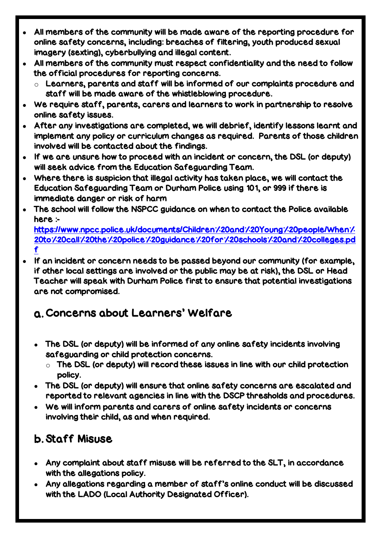- All members of the community will be made aware of the reporting procedure for online safety concerns, including: breaches of filtering, youth produced sexual imagery (sexting), cyberbullying and illegal content.
- All members of the community must respect confidentiality and the need to follow the official procedures for reporting concerns.
	- $\circ$  Learners, parents and staff will be informed of our complaints procedure and staff will be made aware of the whistleblowing procedure.
- We require staff, parents, carers and learners to work in partnership to resolve online safety issues.
- After any investigations are completed, we will debrief, identify lessons learnt and implement any policy or curriculum changes as required. Parents of those children involved will be contacted about the findings.
- If we are unsure how to proceed with an incident or concern, the DSL (or deputy) will seek advice from the Education Safeguarding Team.
- Where there is suspicion that illegal activity has taken place, we will contact the Education Safeguarding Team or Durham Police using 101, or 999 if there is immediate danger or risk of harm
- The school will follow the NSPCC guidance on when to contact the Police available here :-

[https://www.npcc.police.uk/documents/Children%20and%20Young%20people/When%](https://www.npcc.police.uk/documents/Children%20and%20Young%20people/When%20to%20call%20the%20police%20guidance%20for%20schools%20and%20colleges.pdf) [20to%20call%20the%20police%20guidance%20for%20schools%20and%20colleges.pd](https://www.npcc.police.uk/documents/Children%20and%20Young%20people/When%20to%20call%20the%20police%20guidance%20for%20schools%20and%20colleges.pdf) [f](https://www.npcc.police.uk/documents/Children%20and%20Young%20people/When%20to%20call%20the%20police%20guidance%20for%20schools%20and%20colleges.pdf) 

 If an incident or concern needs to be passed beyond our community (for example, if other local settings are involved or the public may be at risk), the DSL or Head Teacher will speak with Durham Police first to ensure that potential investigations are not compromised.

# <span id="page-20-0"></span>Concerns about Learners' Welfare

- The DSL (or deputy) will be informed of any online safety incidents involving safeguarding or child protection concerns.
	- $\circ$  The DSL (or deputy) will record these issues in line with our child protection policy.
- The DSL (or deputy) will ensure that online safety concerns are escalated and reported to relevant agencies in line with the DSCP thresholds and procedures.
- We will inform parents and carers of online safety incidents or concerns involving their child, as and when required.

# <span id="page-20-1"></span>Staff Misuse

- Any complaint about staff misuse will be referred to the SLT, in accordance with the allegations policy.
- Any allegations regarding a member of staff's online conduct will be discussed with the LADO (Local Authority Designated Officer).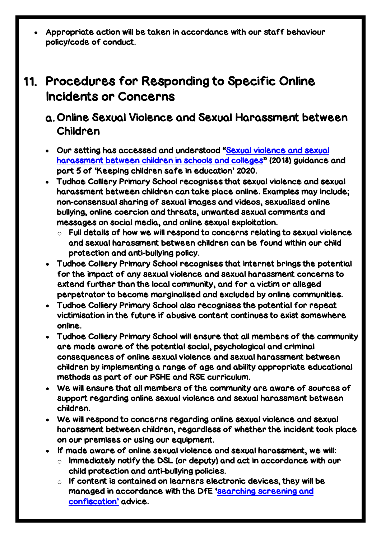Appropriate action will be taken in accordance with our staff behaviour policy/code of conduct.

# <span id="page-21-0"></span>11. Procedures for Responding to Specific Online Incidents or Concerns

# <span id="page-21-1"></span>Online Sexual Violence and Sexual Harassment between Children

- Our setting has accessed and understood "[Sexual violence and sexual](https://www.gov.uk/government/publications/sexual-violence-and-sexual-harassment-between-children-in-schools-and-colleges)  [harassment between children in schools and colleges](https://www.gov.uk/government/publications/sexual-violence-and-sexual-harassment-between-children-in-schools-and-colleges)" (2018) guidance and part 5 of 'Keeping children safe in education' 2020.
- Tudhoe Colliery Primary School recognises that sexual violence and sexual harassment between children can take place online. Examples may include; non-consensual sharing of sexual images and videos, sexualised online bullying, online coercion and threats, unwanted sexual comments and messages on social media, and online sexual exploitation.
	- $\circ$  Full details of how we will respond to concerns relating to sexual violence and sexual harassment between children can be found within our child protection and anti-bullying policy.
- Tudhoe Colliery Primary School recognises that internet brings the potential for the impact of any sexual violence and sexual harassment concerns to extend further than the local community, and for a victim or alleged perpetrator to become marginalised and excluded by online communities.
- Tudhoe Colliery Primary School also recognises the potential for repeat victimisation in the future if abusive content continues to exist somewhere online.
- Tudhoe Colliery Primary School will ensure that all members of the community are made aware of the potential social, psychological and criminal consequences of online sexual violence and sexual harassment between children by implementing a range of age and ability appropriate educational methods as part of our PSHE and RSE curriculum.
- We will ensure that all members of the community are aware of sources of support regarding online sexual violence and sexual harassment between children.
- We will respond to concerns regarding online sexual violence and sexual harassment between children, regardless of whether the incident took place on our premises or using our equipment.
- If made aware of online sexual violence and sexual harassment, we will:
	- $\circ$  Immediately notify the DSL (or deputy) and act in accordance with our child protection and anti-bullying policies.
	- $\circ$  If content is contained on learners electronic devices, they will be managed in accordance with the DfE '[searching screening and](https://www.gov.uk/government/publications/searching-screening-and-confiscation)  [confiscation](https://www.gov.uk/government/publications/searching-screening-and-confiscation)' advice.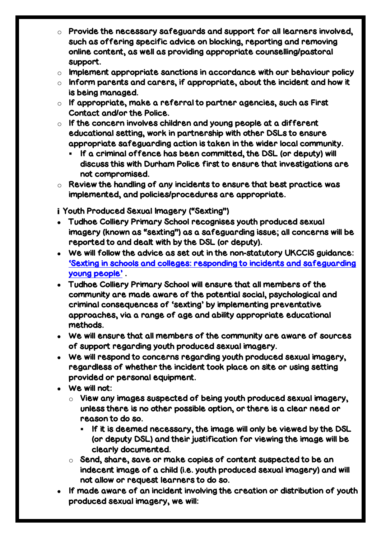- $\circ$  Provide the necessary safeguards and support for all learners involved, such as offering specific advice on blocking, reporting and removing online content, as well as providing appropriate counselling/pastoral support.
- $\circ$  Implement appropriate sanctions in accordance with our behaviour policy
- $\circ$  Inform parents and carers, if appropriate, about the incident and how it is being managed.
- $\circ$  If appropriate, make a referral to partner agencies, such as First Contact and/or the Police.
- $\circ$  If the concern involves children and young people at a different educational setting, work in partnership with other DSLs to ensure appropriate safeguarding action is taken in the wider local community.
	- If a criminal offence has been committed, the DSL (or deputy) will discuss this with Durham Police first to ensure that investigations are not compromised.
- $\circ$  Review the handling of any incidents to ensure that best practice was implemented, and policies/procedures are appropriate.

Youth Produced Sexual Imagery ("Sexting")

- Tudhoe Colliery Primary School recognises youth produced sexual imagery (known as "sexting") as a safeguarding issue; all concerns will be reported to and dealt with by the DSL (or deputy).
- We will follow the advice as set out in the non-statutory UKCCIS guidance: '[Sexting in schools and colleges: responding to incidents and safeguarding](https://www.gov.uk/government/groups/uk-council-for-child-internet-safety-ukccis)  young [people'](https://www.gov.uk/government/groups/uk-council-for-child-internet-safety-ukccis) .
- Tudhoe Colliery Primary School will ensure that all members of the community are made aware of the potential social, psychological and criminal consequences of 'sexting' by implementing preventative approaches, via a range of age and ability appropriate educational methods.
- We will ensure that all members of the community are aware of sources of support regarding youth produced sexual imagery.
- We will respond to concerns regarding youth produced sexual imagery, regardless of whether the incident took place on site or using setting provided or personal equipment.
- We will not:
	- $\circ$  View any images suspected of being youth produced sexual imagery, unless there is no other possible option, or there is a clear need or reason to do so.
		- If it is deemed necessary, the image will only be viewed by the DSL (or deputy DSL) and their justification for viewing the image will be clearly documented.
	- $\circ$  Send, share, save or make copies of content suspected to be an indecent image of a child (i.e. youth produced sexual imagery) and will not allow or request learners to do so.
- If made aware of an incident involving the creation or distribution of youth produced sexual imagery, we will: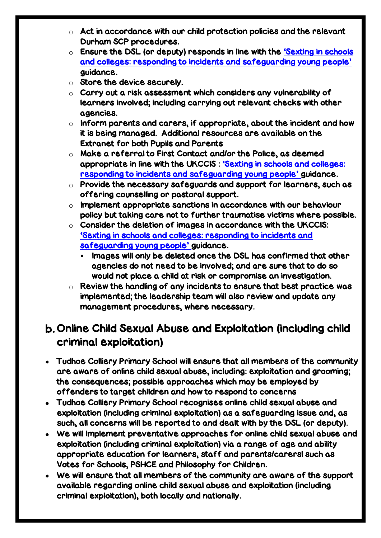- $\circ$  Act in accordance with our child protection policies and the relevant Durham SCP procedures.
- o Ensure the DSL (or deputy) responds in line with the '[Sexting in schools](https://www.gov.uk/government/groups/uk-council-for-child-internet-safety-ukccis)  [and colleges: responding to incidents and safeguarding young people'](https://www.gov.uk/government/groups/uk-council-for-child-internet-safety-ukccis) guidance.
- o Store the device securely.
- o Carry out a risk assessment which considers any vulnerability of learners involved; including carrying out relevant checks with other agencies.
- $\circ$  Inform parents and carers, if appropriate, about the incident and how it is being managed. Additional resources are available on the Extranet for both Pupils and Parents
- o Make a referral to First Contact and/or the Police, as deemed appropriate in line with the UKCCIS : '[Sexting in schools and colleges:](https://www.gov.uk/government/groups/uk-council-for-child-internet-safety-ukccis)  [responding to incidents and safeguarding young people'](https://www.gov.uk/government/groups/uk-council-for-child-internet-safety-ukccis) guidance.
- $\circ$  Provide the necessary safeguards and support for learners, such as offering counselling or pastoral support.
- $\circ$  Implement appropriate sanctions in accordance with our behaviour policy but taking care not to further traumatise victims where possible.
- $\circ$  Consider the deletion of images in accordance with the UKCCIS: '[Sexting in schools and colleges: responding to incidents and](https://www.gov.uk/government/groups/uk-council-for-child-internet-safety-ukccis)  [safeguarding young people'](https://www.gov.uk/government/groups/uk-council-for-child-internet-safety-ukccis) guidance.
	- $\blacksquare$  Images will only be deleted once the DSL has confirmed that other agencies do not need to be involved; and are sure that to do so would not place a child at risk or compromise an investigation.
- $\circ$  Review the handling of any incidents to ensure that best practice was implemented; the leadership team will also review and update any management procedures, where necessary.

### <span id="page-23-0"></span>b. Online Child Sexual Abuse and Exploitation (including child criminal exploitation)

- Tudhoe Colliery Primary School will ensure that all members of the community are aware of online child sexual abuse, including: exploitation and grooming; the consequences; possible approaches which may be employed by offenders to target children and how to respond to concerns
- Tudhoe Colliery Primary School recognises online child sexual abuse and exploitation (including criminal exploitation) as a safeguarding issue and, as such, all concerns will be reported to and dealt with by the DSL (or deputy).
- We will implement preventative approaches for online child sexual abuse and exploitation (including criminal exploitation) via a range of age and ability appropriate education for learners, staff and parents/carersl such as Votes for Schools, PSHCE and Philosophy for Children.
- We will ensure that all members of the community are aware of the support available regarding online child sexual abuse and exploitation (including criminal exploitation), both locally and nationally.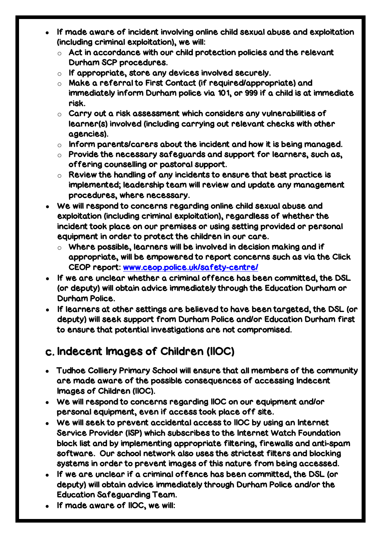- If made aware of incident involving online child sexual abuse and exploitation (including criminal exploitation), we will:
	- $\circ$  Act in accordance with our child protection policies and the relevant Durham SCP procedures.
	- $\circ$  If appropriate, store any devices involved securely.
	- o Make a referral to First Contact (if required/appropriate) and immediately inform Durham police via 101, or 999 if a child is at immediate risk.
	- $\circ$  Carry out a risk assessment which considers any vulnerabilities of learner(s) involved (including carrying out relevant checks with other agencies).
	- $\circ$  Inform parents/carers about the incident and how it is being managed.
	- $\circ$  Provide the necessary safeguards and support for learners, such as, offering counselling or pastoral support.
	- $\circ$  Review the handling of any incidents to ensure that best practice is implemented; leadership team will review and update any management procedures, where necessary.
- We will respond to concerns regarding online child sexual abuse and exploitation (including criminal exploitation), regardless of whether the incident took place on our premises or using setting provided or personal equipment in order to protect the children in our care.
	- $\circ$  Where possible, learners will be involved in decision making and if appropriate, will be empowered to report concerns such as via the Click CEOP report: [www.ceop.police.uk/safety-centre/](http://www.ceop.police.uk/safety-centre/)
- If we are unclear whether a criminal offence has been committed, the DSL (or deputy) will obtain advice immediately through the Education Durham or Durham Police.
- If learners at other settings are believed to have been targeted, the DSL (or deputy) will seek support from Durham Police and/or Education Durham first to ensure that potential investigations are not compromised.

# <span id="page-24-0"></span>Indecent Images of Children (IIOC)

- Tudhoe Colliery Primary School will ensure that all members of the community are made aware of the possible consequences of accessing Indecent Images of Children (IIOC).
- We will respond to concerns regarding IIOC on our equipment and/or personal equipment, even if access took place off site.
- We will seek to prevent accidental access to IIOC by using an Internet Service Provider (ISP) which subscribes to the Internet Watch Foundation block list and by implementing appropriate filtering, firewalls and anti-spam software. Our school network also uses the strictest filters and blocking systems in order to prevent images of this nature from being accessed.
- If we are unclear if a criminal offence has been committed, the DSL (or deputy) will obtain advice immediately through Durham Police and/or the Education Safeguarding Team.
- If made aware of IIOC, we will: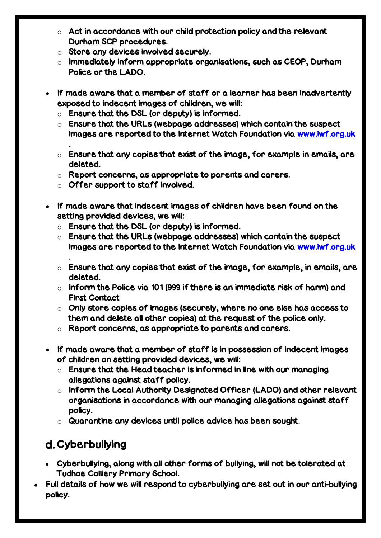- $\circ$  Act in accordance with our child protection policy and the relevant Durham SCP procedures.
- o Store any devices involved securely.
- o Immediately inform appropriate organisations, such as CEOP, Durham Police or the LADO.
- If made aware that a member of staff or a learner has been inadvertently exposed to indecent images of children, we will:
	- $\circ$  Ensure that the DSL (or deputy) is informed.
	- $\circ$  Ensure that the URLs (webpage addresses) which contain the suspect images are reported to the Internet Watch Foundation via [www.iwf.org.uk](https://www.iwf.org.uk/)
	- $\circ$  Ensure that any copies that exist of the image, for example in emails, are deleted.
	- o Report concerns, as appropriate to parents and carers.
	- $\circ$  Offer support to staff involved.

.

.

- If made aware that indecent images of children have been found on the setting provided devices, we will:
	- $\circ$  Ensure that the DSL (or deputy) is informed.
	- $\circ$  Ensure that the URLs (webpage addresses) which contain the suspect images are reported to the Internet Watch Foundation via [www.iwf.org.uk](https://www.iwf.org.uk/)
	- $\circ$  Ensure that any copies that exist of the image, for example, in emails, are deleted.
	- $\circ$  Inform the Police via 101 (999 if there is an immediate risk of harm) and First Contact
	- $\circ$  Only store copies of images (securely, where no one else has access to them and delete all other copies) at the request of the police only.
	- o Report concerns, as appropriate to parents and carers.
- If made aware that a member of staff is in possession of indecent images of children on setting provided devices, we will:
	- $\circ$  Ensure that the Head teacher is informed in line with our managing allegations against staff policy.
	- o Inform the Local Authority Designated Officer (LADO) and other relevant organisations in accordance with our managing allegations against staff policy.
	- o Quarantine any devices until police advice has been sought.

# <span id="page-25-0"></span>d. Cyberbullying

- Cyberbullying, along with all other forms of bullying, will not be tolerated at Tudhoe Colliery Primary School.
- Full details of how we will respond to cyberbullying are set out in our anti-bullying policy.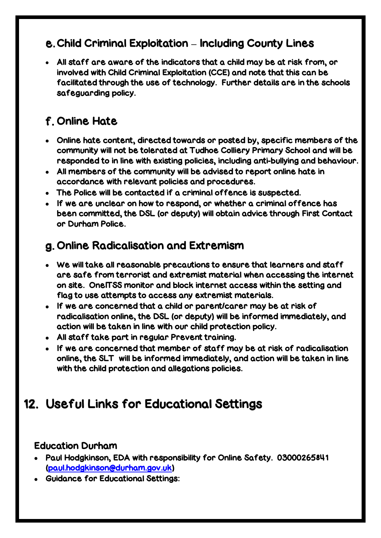# Child Criminal Exploitation **–** Including County Lines

 All staff are aware of the indicators that a child may be at risk from, or involved with Child Criminal Exploitation (CCE) and note that this can be facilitated through the use of technology. Further details are in the schools safeguarding policy.

# <span id="page-26-0"></span>Online Hate

- Online hate content, directed towards or posted by, specific members of the community will not be tolerated at Tudhoe Colliery Primary School and will be responded to in line with existing policies, including anti-bullying and behaviour.
- All members of the community will be advised to report online hate in accordance with relevant policies and procedures.
- The Police will be contacted if a criminal offence is suspected.
- If we are unclear on how to respond, or whether a criminal offence has been committed, the DSL (or deputy) will obtain advice through First Contact or Durham Police.

# <span id="page-26-1"></span>g. Online Radicalisation and Extremism

- We will take all reasonable precautions to ensure that learners and staff are safe from terrorist and extremist material when accessing the internet on site. OneITSS monitor and block internet access within the setting and flag to use attempts to access any extremist materials.
- If we are concerned that a child or parent/carer may be at risk of radicalisation online, the DSL (or deputy) will be informed immediately, and action will be taken in line with our child protection policy.
- All staff take part in regular Prevent training.
- If we are concerned that member of staff may be at risk of radicalisation online, the SLT will be informed immediately, and action will be taken in line with the child protection and allegations policies.

# <span id="page-26-2"></span>12. Useful Links for Educational Settings

#### Education Durham

- Paul Hodgkinson, EDA with responsibility for Online Safety. 03000265841 [\(paul.hodgkinson@durham.gov.uk\)](mailto:paul.hodgkinson@durham.gov.uk)
- Guidance for Educational Settings: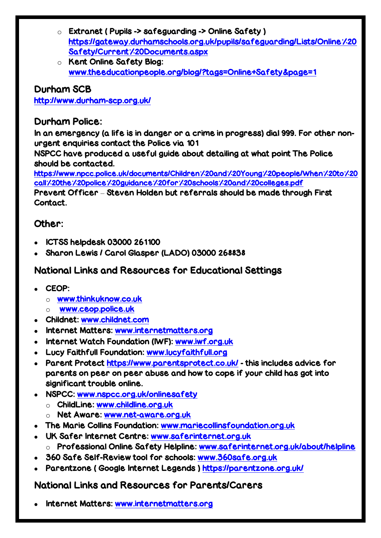- $\circ$  Extranet ( Pupils -> safeguarding -> Online Safety ) [https://gateway.durhamschools.org.uk/pupils/safeguarding/Lists/Online%20](https://gateway.durhamschools.org.uk/pupils/safeguarding/Lists/Online%20Safety/Current%20Documents.aspx) [Safety/Current%20Documents.aspx](https://gateway.durhamschools.org.uk/pupils/safeguarding/Lists/Online%20Safety/Current%20Documents.aspx)
- o Kent Online Safety Blog: [www.theeducationpeople.org/blog/?tags=Online+Safety&page=1](http://www.theeducationpeople.org/blog/?tags=Online+Safety&page=1)

#### Durham SCB

http://www.durham-scp.org.uk/

#### Durham Police:

In an emergency (a life is in danger or a crime in progress) dial 999. For other nonurgent enquiries contact the Police via 101

NSPCC have produced a useful guide about detailing at what point The Police should be contacted.

[https://www.npcc.police.uk/documents/Children%20and%20Young%20people/When%20to%20](https://www.npcc.police.uk/documents/Children%20and%20Young%20people/When%20to%20call%20the%20police%20guidance%20for%20schools%20and%20colleges.pdf) [call%20the%20police%20guidance%20for%20schools%20and%20colleges.pdf](https://www.npcc.police.uk/documents/Children%20and%20Young%20people/When%20to%20call%20the%20police%20guidance%20for%20schools%20and%20colleges.pdf)

Prevent Officer – Steven Holden but referrals should be made through First Contact.

#### Other:

- ICTSS helpdesk 03000 261100
- Sharon Lewis / Carol Glasper (LADO) 03000 268838

#### National Links and Resources for Educational Settings

- CEOP:
	- o [www.thinkuknow.co.uk](http://www.thinkuknow.co.uk/)
	- o [www.ceop.police.uk](http://www.ceop.police.uk/)
- Childnet: [www.childnet.com](http://www.childnet.com/)
- Internet Matters: [www.internetmatters.org](http://www.internetmatters.org/)
- Internet Watch Foundation (IWF): [www.iwf.org.uk](http://www.iwf.org.uk/)
- Lucy Faithfull Foundation: [www.lucyfaithfull.org](http://www.lucyfaithfull.org/)
- Parent Protect<https://www.parentsprotect.co.uk/> this includes advice for parents on peer on peer abuse and how to cope if your child has got into significant trouble online.
- NSPCC: [www.nspcc.org.uk/onlinesafety](http://www.nspcc.org.uk/onlinesafety)
	- o ChildLine: [www.childline.org.uk](http://www.childline.org.uk/)
	- o Net Aware: [www.net-aware.org.uk](http://www.net-aware.org.uk/)
- The Marie Collins Foundation: [www.mariecollinsfoundation.org.uk](http://www.mariecollinsfoundation.org.uk/)
- UK Safer Internet Centre: [www.saferinternet.org.uk](http://www.saferinternet.org.uk/) o Professional Online Safety Helpline: [www.saferinternet.org.uk/about/helpline](http://www.saferinternet.org.uk/about/helpline)
- 360 Safe Self-Review tool for schools: [www.360safe.org.uk](http://www.360safe.org.uk/)
- Parentzone ( Google Internet Legends )<https://parentzone.org.uk/>

#### National Links and Resources for Parents/Carers

Internet Matters: [www.internetmatters.org](http://www.internetmatters.org/)